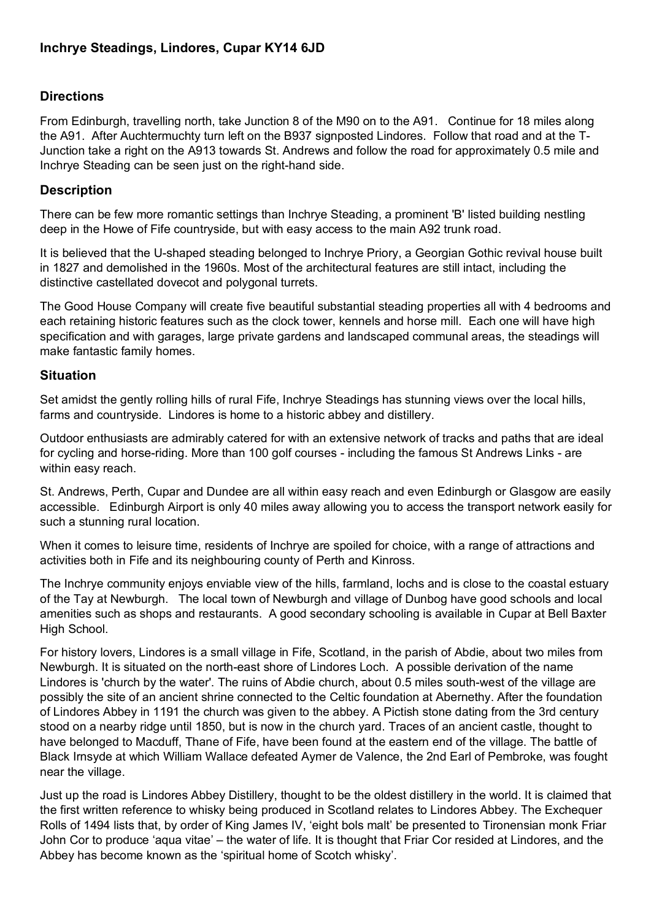# **Directions**

From Edinburgh, travelling north, take Junction 8 of the M90 on to the A91. Continue for 18 miles along the A91. After Auchtermuchty turn left on the B937 signposted Lindores. Follow that road and at the T-Junction take a right on the A913 towards St. Andrews and follow the road for approximately 0.5 mile and Inchrye Steading can be seen just on the right-hand side.

# **Description**

There can be few more romantic settings than Inchrye Steading, a prominent 'B' listed building nestling deep in the Howe of Fife countryside, but with easy access to the main A92 trunk road.

It is believed that the U-shaped steading belonged to Inchrye Priory, a Georgian Gothic revival house built in 1827 and demolished in the 1960s. Most of the architectural features are still intact, including the distinctive castellated dovecot and polygonal turrets.

The Good House Company will create five beautiful substantial steading properties all with 4 bedrooms and each retaining historic features such as the clock tower, kennels and horse mill. Each one will have high specification and with garages, large private gardens and landscaped communal areas, the steadings will make fantastic family homes.

# **Situation**

Set amidst the gently rolling hills of rural Fife, Inchrye Steadings has stunning views over the local hills, farms and countryside. Lindores is home to a historic abbey and distillery.

Outdoor enthusiasts are admirably catered for with an extensive network of tracks and paths that are ideal for cycling and horse-riding. More than 100 golf courses - including the famous St Andrews Links - are within easy reach.

St. Andrews, Perth, Cupar and Dundee are all within easy reach and even Edinburgh or Glasgow are easily accessible. Edinburgh Airport is only 40 miles away allowing you to access the transport network easily for such a stunning rural location.

When it comes to leisure time, residents of Inchrye are spoiled for choice, with a range of attractions and activities both in Fife and its neighbouring county of Perth and Kinross.

The Inchrye community enjoys enviable view of the hills, farmland, lochs and is close to the coastal estuary of the Tay at Newburgh. The local town of Newburgh and village of Dunbog have good schools and local amenities such as shops and restaurants. A good secondary schooling is available in Cupar at Bell Baxter High School.

For history lovers, Lindores is a small village in Fife, Scotland, in the parish of Abdie, about two miles from Newburgh. It is situated on the north-east shore of Lindores Loch. A possible derivation of the name Lindores is 'church by the water'. The ruins of Abdie church, about 0.5 miles south-west of the village are possibly the site of an ancient shrine connected to the Celtic foundation at Abernethy. After the foundation of Lindores Abbey in 1191 the church was given to the abbey. A Pictish stone dating from the 3rd century stood on a nearby ridge until 1850, but is now in the church yard. Traces of an ancient castle, thought to have belonged to Macduff, Thane of Fife, have been found at the eastern end of the village. The battle of Black Irnsyde at which William Wallace defeated Aymer de Valence, the 2nd Earl of Pembroke, was fought near the village.

Just up the road is Lindores Abbey Distillery, thought to be the oldest distillery in the world. It is claimed that the first written reference to whisky being produced in Scotland relates to Lindores Abbey. The Exchequer Rolls of 1494 lists that, by order of King James IV, 'eight bols malt' be presented to Tironensian monk Friar John Cor to produce 'aqua vitae' – the water of life. It is thought that Friar Cor resided at Lindores, and the Abbey has become known as the 'spiritual home of Scotch whisky'.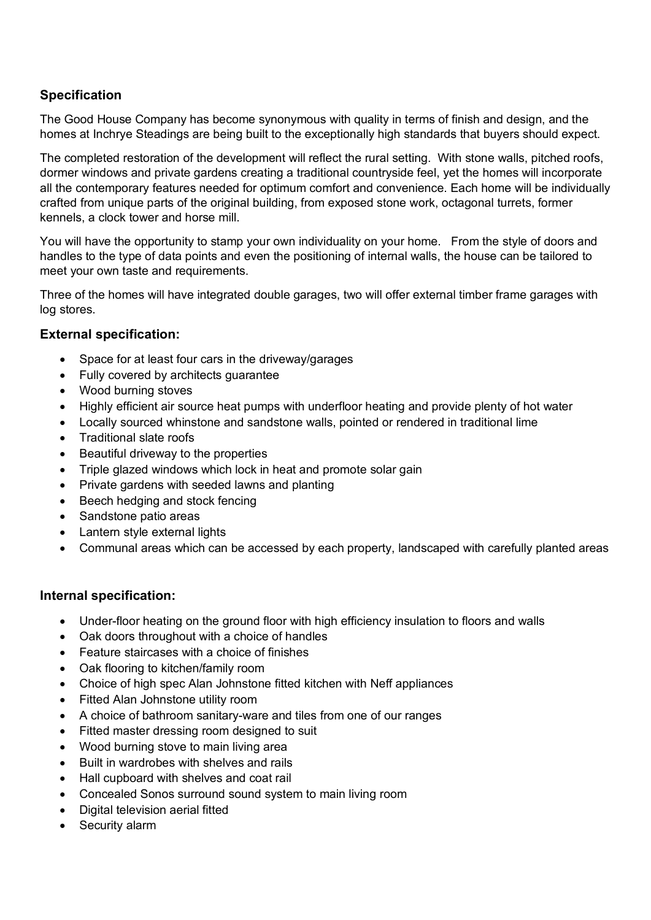# **Specification**

The Good House Company has become synonymous with quality in terms of finish and design, and the homes at Inchrye Steadings are being built to the exceptionally high standards that buyers should expect.

The completed restoration of the development will reflect the rural setting. With stone walls, pitched roofs, dormer windows and private gardens creating a traditional countryside feel, yet the homes will incorporate all the contemporary features needed for optimum comfort and convenience. Each home will be individually crafted from unique parts of the original building, from exposed stone work, octagonal turrets, former kennels, a clock tower and horse mill.

You will have the opportunity to stamp your own individuality on your home. From the style of doors and handles to the type of data points and even the positioning of internal walls, the house can be tailored to meet your own taste and requirements.

Three of the homes will have integrated double garages, two will offer external timber frame garages with log stores.

## **External specification:**

- Space for at least four cars in the driveway/garages
- Fully covered by architects guarantee
- Wood burning stoves
- Highly efficient air source heat pumps with underfloor heating and provide plenty of hot water
- Locally sourced whinstone and sandstone walls, pointed or rendered in traditional lime
- Traditional slate roofs
- Beautiful driveway to the properties
- Triple glazed windows which lock in heat and promote solar gain
- Private gardens with seeded lawns and planting
- Beech hedging and stock fencing
- Sandstone patio areas
- Lantern style external lights
- Communal areas which can be accessed by each property, landscaped with carefully planted areas

## **Internal specification:**

- Under-floor heating on the ground floor with high efficiency insulation to floors and walls
- Oak doors throughout with a choice of handles
- Feature staircases with a choice of finishes
- Oak flooring to kitchen/family room
- Choice of high spec Alan Johnstone fitted kitchen with Neff appliances
- Fitted Alan Johnstone utility room
- A choice of bathroom sanitary-ware and tiles from one of our ranges
- Fitted master dressing room designed to suit
- Wood burning stove to main living area
- Built in wardrobes with shelves and rails
- Hall cupboard with shelves and coat rail
- Concealed Sonos surround sound system to main living room
- Digital television aerial fitted
- Security alarm